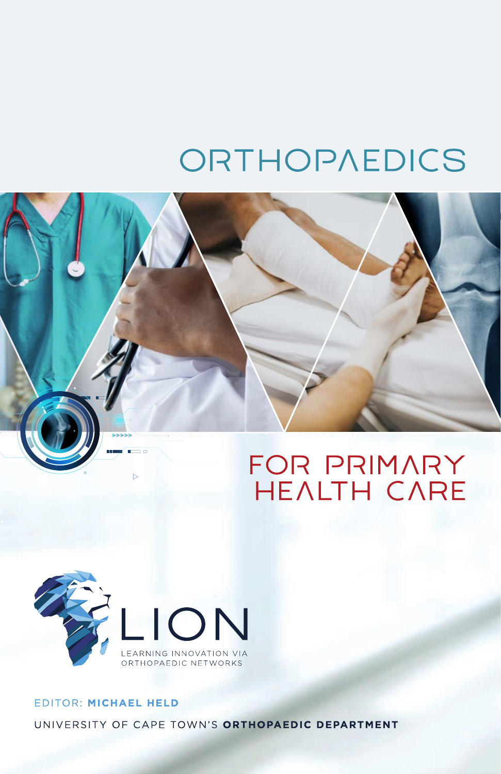# ORTHOPAEDICS





## EDITOR: MICHAEL HELD UNIVERSITY OF CAPE TOWN'S ORTHOPAEDIC DEPARTMENT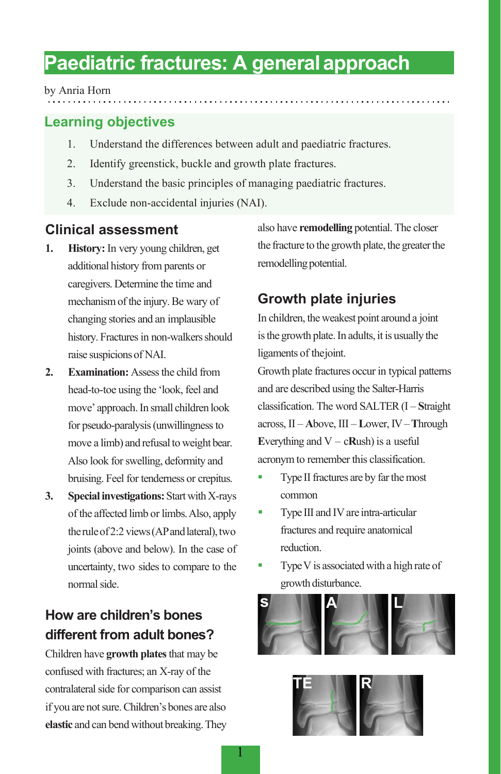## **Paediatric fractures: A generalapproach**

#### by Anria Horn

## **Learning objectives**

- 1. Understand the differences between adult and paediatric fractures.
- 2. Identify greenstick, buckle and growth plate fractures.
- 3. Understand the basic principles of managing paediatric fractures.
- 4. Exclude non-accidental injuries (NAI).

## **Clinical assessment**

- **1. History:** In very young children, get additional history from parents or caregivers. Determine the time and mechanism of the injury. Be wary of changing stories and an implausible history. Fractures in non-walkers should raise suspicionsof NAI.
- **2. Examination:** Assess the child from head-to-toe using the 'look, feel and move' approach.In small children look for pseudo-paralysis (unwillingness to move a limb) and refusal to weight bear. Also look for swelling, deformity and bruising. Feel for tenderness or crepitus.
- **3. Special investigations:** Start with X-rays of the affected limb or limbs.Also, apply the rule of 2:2 views (AP and lateral), two joints (above and below). In the case of uncertainty, two sides to compare to the normal side.

## **How are children's bones different from adult bones?**

Children have **growth plates** that may be confused with fractures; an X-ray of the contralateral side for comparison can assist if you are not sure. Children's bones are also **elastic** and can bend without breaking. They also have **remodelling** potential. The closer the fracture to the growth plate, the greater the remodelling potential.

## **Growth plate injuries**

In children, theweakest point around a joint is the growth plate. In adults, it is usually the ligaments of thejoint.

Growth plate fractures occur in typical patterns and are described using the Salter-Harris classification. The word SALTER (I – **S**traight across, II – **A**bove, III – **L**ower, IV–**T**hrough **E**verything and  $V - c$ **Rush**) is a useful acronym to remember this classification.

- Type II fractures are by far the most common
- Type III and IV are intra-articular fractures and require anatomical reduction.
- Type V is associated with a high rate of growth disturbance.



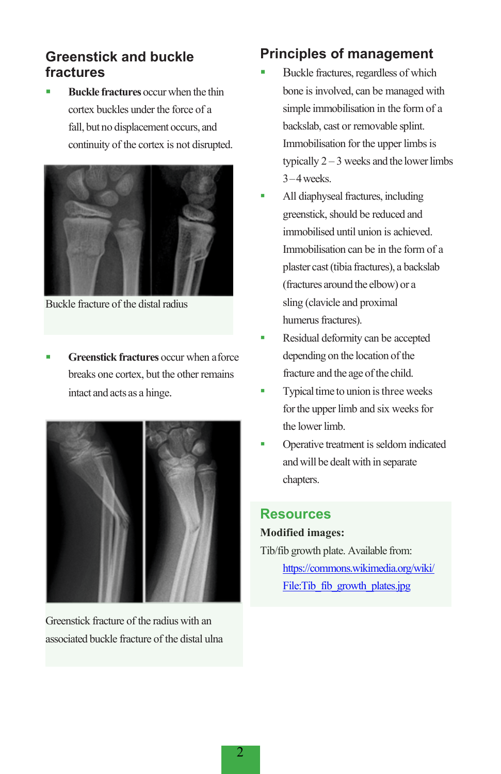## **Greenstick and buckle fractures**

 **Buckle fractures** occur when the thin cortex buckles under the force of a fall, but no displacement occurs, and continuity of the cortex is not disrupted.



Buckle fracture of the distal radius

 **Greenstick fractures** occur when aforce breaks one cortex, but the other remains intact and acts as a hinge.



Greenstick fracture of the radius with an associated buckle fracture of the distal ulna

## **Principles of management**

- Buckle fractures, regardless of which bone is involved, can be managed with simple immobilisation in the form of a backslab, cast or removable splint. Immobilisation for the upper limbs is typically  $2 - 3$  weeks and the lower limbs 3–4weeks.
- All diaphyseal fractures, including greenstick, should be reduced and immobilised until union is achieved. Immobilisation can be in the form of a plaster cast(tibia fractures), a backslab (fractures around the elbow) or a sling (clavicle and proximal humerus fractures).
- Residual deformity can be accepted depending on the location of the fracture and the age of the child.
- $\blacksquare$  Typical time to union is three weeks for the upper limb and six weeks for the lower limb.
- Operative treatment is seldom indicated andwill be dealt with in separate chapters.

## **Resources**

#### **Modified images:**

Tib/fib growth plate. Available from: [https://commons.wikimedia.org/wiki/](https://commons.wikimedia.org/wiki/File:Tib_fib_growth_plates.jpg) [File:Tib\\_fib\\_growth\\_plates.jpg](https://commons.wikimedia.org/wiki/File:Tib_fib_growth_plates.jpg)